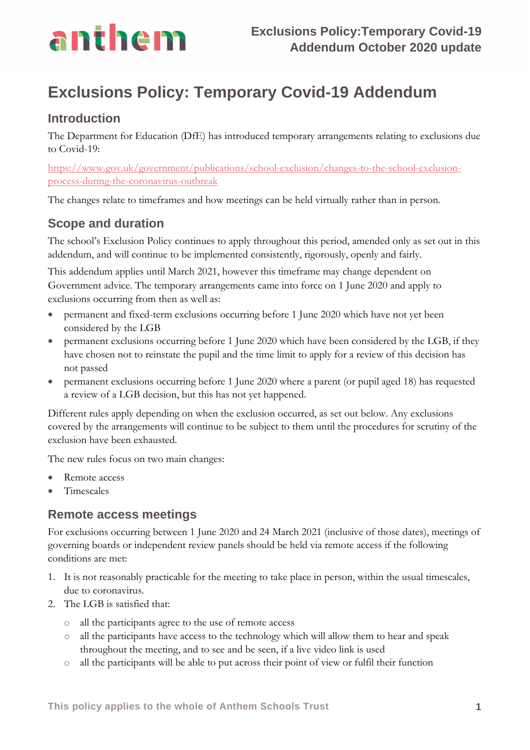

# **Exclusions Policy: Temporary Covid-19 Addendum**

### **Introduction**

The Department for Education (DfE) has introduced temporary arrangements relating to exclusions due to Covid-19:

[https://www.gov.uk/government/publications/school-exclusion/changes-to-the-school-exclusion](https://www.gov.uk/government/publications/school-exclusion/changes-to-the-school-exclusion-process-during-the-coronavirus-outbreak)[process-during-the-coronavirus-outbreak](https://www.gov.uk/government/publications/school-exclusion/changes-to-the-school-exclusion-process-during-the-coronavirus-outbreak)

The changes relate to timeframes and how meetings can be held virtually rather than in person.

## **Scope and duration**

The school's Exclusion Policy continues to apply throughout this period, amended only as set out in this addendum, and will continue to be implemented consistently, rigorously, openly and fairly.

This addendum applies until March 2021, however this timeframe may change dependent on Government advice. The temporary arrangements came into force on 1 June 2020 and apply to exclusions occurring from then as well as:

- permanent and fixed-term exclusions occurring before 1 June 2020 which have not yet been considered by the LGB
- permanent exclusions occurring before 1 June 2020 which have been considered by the LGB, if they have chosen not to reinstate the pupil and the time limit to apply for a review of this decision has not passed
- permanent exclusions occurring before 1 June 2020 where a parent (or pupil aged 18) has requested a review of a LGB decision, but this has not yet happened.

Different rules apply depending on when the exclusion occurred, as set out below. Any exclusions covered by the arrangements will continue to be subject to them until the procedures for scrutiny of the exclusion have been exhausted.

The new rules focus on two main changes:

- Remote access
- Timescales

### **Remote access meetings**

For exclusions occurring between 1 June 2020 and 24 March 2021 (inclusive of those dates), meetings of governing boards or independent review panels should be held via remote access if the following conditions are met:

- 1. It is not reasonably practicable for the meeting to take place in person, within the usual timescales, due to coronavirus.
- 2. The LGB is satisfied that:
	- o all the participants agree to the use of remote access
	- o all the participants have access to the technology which will allow them to hear and speak throughout the meeting, and to see and be seen, if a live video link is used
	- o all the participants will be able to put across their point of view or fulfil their function